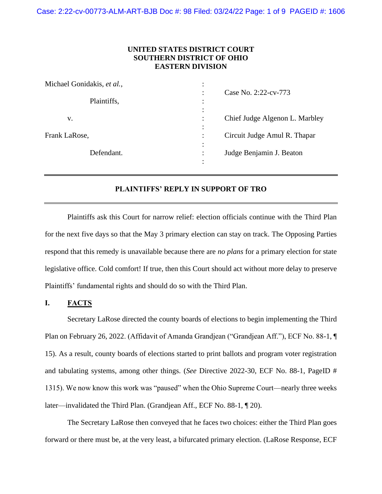## **UNITED STATES DISTRICT COURT SOUTHERN DISTRICT OF OHIO EASTERN DIVISION**

| Michael Gonidakis, et al., |                                       |
|----------------------------|---------------------------------------|
| Plaintiffs,                | Case No. 2:22-cv-773                  |
| v.                         | Chief Judge Algenon L. Marbley        |
| Frank LaRose,              | Circuit Judge Amul R. Thapar          |
| Defendant.                 | Judge Benjamin J. Beaton<br>$\bullet$ |

## **PLAINTIFFS' REPLY IN SUPPORT OF TRO**

Plaintiffs ask this Court for narrow relief: election officials continue with the Third Plan for the next five days so that the May 3 primary election can stay on track. The Opposing Parties respond that this remedy is unavailable because there are *no plans* for a primary election for state legislative office. Cold comfort! If true, then this Court should act without more delay to preserve Plaintiffs' fundamental rights and should do so with the Third Plan.

# **I. FACTS**

Secretary LaRose directed the county boards of elections to begin implementing the Third Plan on February 26, 2022. (Affidavit of Amanda Grandjean ("Grandjean Aff."), ECF No. 88-1, ¶ 15). As a result, county boards of elections started to print ballots and program voter registration and tabulating systems, among other things. (*See* Directive 2022-30, ECF No. 88-1, PageID # 1315). We now know this work was "paused" when the Ohio Supreme Court—nearly three weeks later—invalidated the Third Plan. (Grandjean Aff., ECF No. 88-1, ¶ 20).

The Secretary LaRose then conveyed that he faces two choices: either the Third Plan goes forward or there must be, at the very least, a bifurcated primary election. (LaRose Response, ECF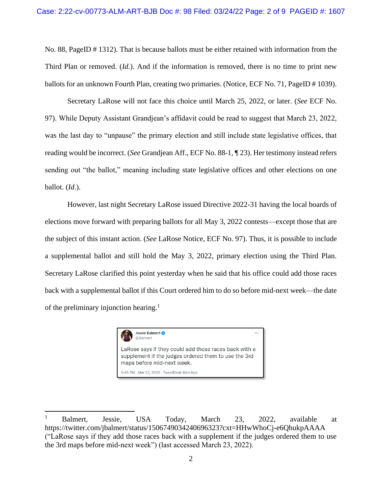No. 88, PageID # 1312). That is because ballots must be either retained with information from the Third Plan or removed. (*Id.*). And if the information is removed, there is no time to print new ballots for an unknown Fourth Plan, creating two primaries. (Notice, ECF No. 71, PageID # 1039).

Secretary LaRose will not face this choice until March 25, 2022, or later. (*See* ECF No. 97). While Deputy Assistant Grandjean's affidavit could be read to suggest that March 23, 2022, was the last day to "unpause" the primary election and still include state legislative offices, that reading would be incorrect. (*See* Grandjean Aff., ECF No. 88-1, ¶ 23). Her testimony instead refers sending out "the ballot," meaning including state legislative offices and other elections on one ballot. (*Id.*).

However, last night Secretary LaRose issued Directive 2022-31 having the local boards of elections move forward with preparing ballots for all May 3, 2022 contests—except those that are the subject of this instant action. (*See* LaRose Notice, ECF No. 97). Thus, it is possible to include a supplemental ballot and still hold the May 3, 2022, primary election using the Third Plan. Secretary LaRose clarified this point yesterday when he said that his office could add those races back with a supplemental ballot if this Court ordered him to do so before mid-next week—the date of the preliminary injunction hearing. 1



<sup>&</sup>lt;sup>1</sup> Balmert, Jessie, USA Today, March 23, 2022, available at https://twitter.com/jbalmert/status/1506749034240696323?cxt=HHwWhoCj-e6QhukpAAAA ("LaRose says if they add those races back with a supplement if the judges ordered them to use the 3rd maps before mid-next week") (last accessed March 23, 2022).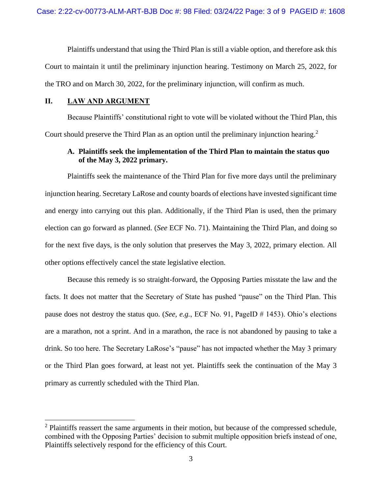Plaintiffs understand that using the Third Plan is still a viable option, and therefore ask this Court to maintain it until the preliminary injunction hearing. Testimony on March 25, 2022, for the TRO and on March 30, 2022, for the preliminary injunction, will confirm as much.

### **II. LAW AND ARGUMENT**

Because Plaintiffs' constitutional right to vote will be violated without the Third Plan, this Court should preserve the Third Plan as an option until the preliminary injunction hearing.<sup>2</sup>

# **A. Plaintiffs seek the implementation of the Third Plan to maintain the status quo of the May 3, 2022 primary.**

Plaintiffs seek the maintenance of the Third Plan for five more days until the preliminary injunction hearing. Secretary LaRose and county boards of elections have invested significant time and energy into carrying out this plan. Additionally, if the Third Plan is used, then the primary election can go forward as planned. (*See* ECF No. 71). Maintaining the Third Plan, and doing so for the next five days, is the only solution that preserves the May 3, 2022, primary election. All other options effectively cancel the state legislative election.

Because this remedy is so straight-forward, the Opposing Parties misstate the law and the facts. It does not matter that the Secretary of State has pushed "pause" on the Third Plan. This pause does not destroy the status quo. (*See, e.g.*, ECF No. 91, PageID # 1453). Ohio's elections are a marathon, not a sprint. And in a marathon, the race is not abandoned by pausing to take a drink. So too here. The Secretary LaRose's "pause" has not impacted whether the May 3 primary or the Third Plan goes forward, at least not yet. Plaintiffs seek the continuation of the May 3 primary as currently scheduled with the Third Plan.

 $2$  Plaintiffs reassert the same arguments in their motion, but because of the compressed schedule, combined with the Opposing Parties' decision to submit multiple opposition briefs instead of one, Plaintiffs selectively respond for the efficiency of this Court.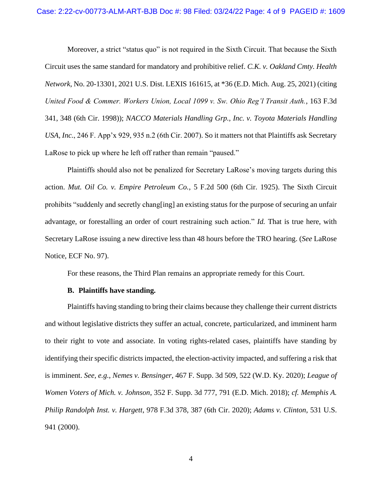Moreover, a strict "status quo" is not required in the Sixth Circuit. That because the Sixth Circuit uses the same standard for mandatory and prohibitive relief. *C.K. v. Oakland Cmty. Health Network*, No. 20-13301, 2021 U.S. Dist. LEXIS 161615, at \*36 (E.D. Mich. Aug. 25, 2021) (citing *United Food & Commer. Workers Union, Local 1099 v. Sw. Ohio Reg'l Transit Auth.*, 163 F.3d 341, 348 (6th Cir. 1998)); *NACCO Materials Handling Grp., Inc. v. Toyota Materials Handling USA, Inc.*, 246 F. App'x 929, 935 n.2 (6th Cir. 2007). So it matters not that Plaintiffs ask Secretary LaRose to pick up where he left off rather than remain "paused."

Plaintiffs should also not be penalized for Secretary LaRose's moving targets during this action. *Mut. Oil Co. v. Empire Petroleum Co.*, 5 F.2d 500 (6th Cir. 1925). The Sixth Circuit prohibits "suddenly and secretly chang[ing] an existing status for the purpose of securing an unfair advantage, or forestalling an order of court restraining such action." *Id.* That is true here, with Secretary LaRose issuing a new directive less than 48 hours before the TRO hearing. (*See* LaRose Notice, ECF No. 97).

For these reasons, the Third Plan remains an appropriate remedy for this Court.

#### **B. Plaintiffs have standing.**

Plaintiffs having standing to bring their claims because they challenge their current districts and without legislative districts they suffer an actual, concrete, particularized, and imminent harm to their right to vote and associate. In voting rights-related cases, plaintiffs have standing by identifying their specific districts impacted, the election-activity impacted, and suffering a risk that is imminent. *See, e.g.*, *Nemes v. Bensinger*, 467 F. Supp. 3d 509, 522 (W.D. Ky. 2020); *League of Women Voters of Mich. v. Johnson*, 352 F. Supp. 3d 777, 791 (E.D. Mich. 2018); *cf. Memphis A. Philip Randolph Inst. v. Hargett*, 978 F.3d 378, 387 (6th Cir. 2020); *Adams v. Clinton*, 531 U.S. 941 (2000).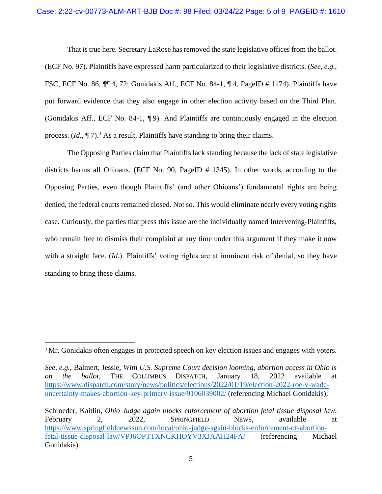That is true here. Secretary LaRose has removed the state legislative offices from the ballot. (ECF No. 97). Plaintiffs have expressed harm particularized to their legislative districts. (*See, e.g.*, FSC, ECF No. 86, ¶¶ 4, 72; Gonidakis Aff., ECF No. 84-1, ¶ 4, PageID # 1174). Plaintiffs have put forward evidence that they also engage in other election activity based on the Third Plan. (Gonidakis Aff., ECF No. 84-1, ¶ 9). And Plaintiffs are continuously engaged in the election process. (*Id.*,  $\P$  7).<sup>3</sup> As a result, Plaintiffs have standing to bring their claims.

The Opposing Parties claim that Plaintiffs lack standing because the lack of state legislative districts harms all Ohioans. (ECF No. 90, PageID # 1345). In other words, according to the Opposing Parties, even though Plaintiffs' (and other Ohioans') fundamental rights are being denied, the federal courts remained closed. Not so. This would eliminate nearly every voting rights case. Curiously, the parties that press this issue are the individually named Intervening-Plaintiffs, who remain free to dismiss their complaint at any time under this argument if they make it now with a straight face. *(Id.)*. Plaintiffs' voting rights are at imminent risk of denial, so they have standing to bring these claims.

<sup>&</sup>lt;sup>3</sup> Mr. Gonidakis often engages in protected speech on key election issues and engages with voters.

*See, e.g.*, Balmert, Jessie, *With U.S. Supreme Court decision looming, abortion access in Ohio is on the ballot*, THE COLUMBUS DISPATCH, January 18, 2022 available at [https://www.dispatch.com/story/news/politics/elections/2022/01/19/election-2022-roe-v-wade](https://www.dispatch.com/story/news/politics/elections/2022/01/19/election-2022-roe-v-wade-uncertainty-makes-abortion-key-primary-issue/9106039002/)[uncertainty-makes-abortion-key-primary-issue/9106039002/](https://www.dispatch.com/story/news/politics/elections/2022/01/19/election-2022-roe-v-wade-uncertainty-makes-abortion-key-primary-issue/9106039002/) (referencing Michael Gonidakis);

Schroeder, Kaitlin, *Ohio Judge again blocks enforcement of abortion fetal tissue disposal law*, February 2, 2022, SPRINGFIELD NEWS, available at [https://www.springfieldnewssun.com/local/ohio-judge-again-blocks-enforcement-of-abortion](https://www.springfieldnewssun.com/local/ohio-judge-again-blocks-enforcement-of-abortion-fetal-tissue-disposal-law/VPJ6OPTTXNCKHOYV3XJAAH24FA/)[fetal-tissue-disposal-law/VPJ6OPTTXNCKHOYV3XJAAH24FA/](https://www.springfieldnewssun.com/local/ohio-judge-again-blocks-enforcement-of-abortion-fetal-tissue-disposal-law/VPJ6OPTTXNCKHOYV3XJAAH24FA/) (referencing Michael Gonidakis).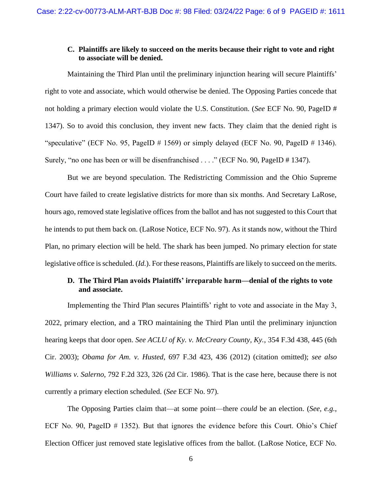### **C. Plaintiffs are likely to succeed on the merits because their right to vote and right to associate will be denied.**

Maintaining the Third Plan until the preliminary injunction hearing will secure Plaintiffs' right to vote and associate, which would otherwise be denied. The Opposing Parties concede that not holding a primary election would violate the U.S. Constitution. (*See* ECF No. 90, PageID # 1347). So to avoid this conclusion, they invent new facts. They claim that the denied right is "speculative" (ECF No. 95, PageID  $\#$  1569) or simply delayed (ECF No. 90, PageID  $\#$  1346). Surely, "no one has been or will be disenfranchised . . . ." (ECF No. 90, PageID # 1347).

But we are beyond speculation. The Redistricting Commission and the Ohio Supreme Court have failed to create legislative districts for more than six months. And Secretary LaRose, hours ago, removed state legislative offices from the ballot and has not suggested to this Court that he intends to put them back on. (LaRose Notice, ECF No. 97). As it stands now, without the Third Plan, no primary election will be held. The shark has been jumped. No primary election for state legislative office is scheduled. (*Id.*). For these reasons, Plaintiffs are likely to succeed on the merits.

# **D. The Third Plan avoids Plaintiffs' irreparable harm—denial of the rights to vote and associate.**

Implementing the Third Plan secures Plaintiffs' right to vote and associate in the May 3, 2022, primary election, and a TRO maintaining the Third Plan until the preliminary injunction hearing keeps that door open. *See ACLU of Ky. v. McCreary County, Ky.*, 354 F.3d 438, 445 (6th Cir. 2003); *Obama for Am. v. Husted*, 697 F.3d 423, 436 (2012) (citation omitted); *see also Williams v. Salerno*, 792 F.2d 323, 326 (2d Cir. 1986). That is the case here, because there is not currently a primary election scheduled. (*See* ECF No. 97).

The Opposing Parties claim that—at some point—there *could* be an election. (*See, e.g.*, ECF No. 90, PageID # 1352). But that ignores the evidence before this Court. Ohio's Chief Election Officer just removed state legislative offices from the ballot. (LaRose Notice, ECF No.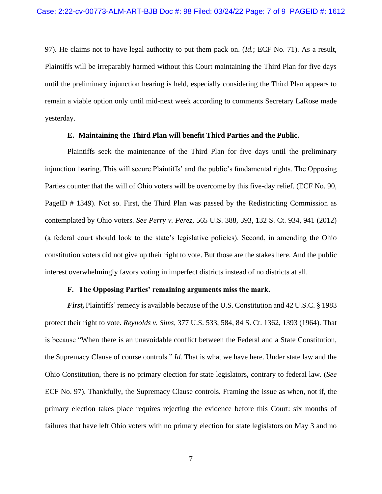97). He claims not to have legal authority to put them pack on. (*Id.*; ECF No. 71). As a result, Plaintiffs will be irreparably harmed without this Court maintaining the Third Plan for five days until the preliminary injunction hearing is held, especially considering the Third Plan appears to remain a viable option only until mid-next week according to comments Secretary LaRose made yesterday.

### **E. Maintaining the Third Plan will benefit Third Parties and the Public.**

Plaintiffs seek the maintenance of the Third Plan for five days until the preliminary injunction hearing. This will secure Plaintiffs' and the public's fundamental rights. The Opposing Parties counter that the will of Ohio voters will be overcome by this five-day relief. (ECF No. 90, PageID # 1349). Not so. First, the Third Plan was passed by the Redistricting Commission as contemplated by Ohio voters. *See Perry v. Perez*, 565 U.S. 388, 393, 132 S. Ct. 934, 941 (2012) (a federal court should look to the state's legislative policies). Second, in amending the Ohio constitution voters did not give up their right to vote. But those are the stakes here. And the public interest overwhelmingly favors voting in imperfect districts instead of no districts at all.

## **F. The Opposing Parties' remaining arguments miss the mark.**

*First*, Plaintiffs' remedy is available because of the U.S. Constitution and 42 U.S.C. § 1983 protect their right to vote. *Reynolds v. Sims*, 377 U.S. 533, 584, 84 S. Ct. 1362, 1393 (1964). That is because "When there is an unavoidable conflict between the Federal and a State Constitution, the Supremacy Clause of course controls." *Id.* That is what we have here. Under state law and the Ohio Constitution, there is no primary election for state legislators, contrary to federal law. (*See*  ECF No. 97). Thankfully, the Supremacy Clause controls. Framing the issue as when, not if, the primary election takes place requires rejecting the evidence before this Court: six months of failures that have left Ohio voters with no primary election for state legislators on May 3 and no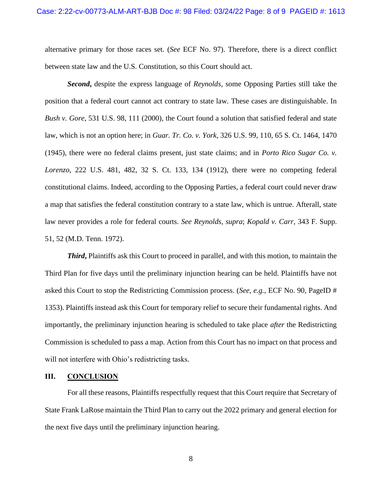alternative primary for those races set. (*See* ECF No. 97). Therefore, there is a direct conflict between state law and the U.S. Constitution, so this Court should act.

*Second***,** despite the express language of *Reynolds*, some Opposing Parties still take the position that a federal court cannot act contrary to state law. These cases are distinguishable. In *Bush v. Gore*, 531 U.S. 98, 111 (2000), the Court found a solution that satisfied federal and state law, which is not an option here; in *Guar. Tr. Co. v. York,* 326 U.S. 99, 110, 65 S. Ct. 1464, 1470 (1945), there were no federal claims present, just state claims; and in *Porto Rico Sugar Co. v. Lorenzo*, 222 U.S. 481, 482, 32 S. Ct. 133, 134 (1912), there were no competing federal constitutional claims. Indeed, according to the Opposing Parties, a federal court could never draw a map that satisfies the federal constitution contrary to a state law, which is untrue. Afterall, state law never provides a role for federal courts. *See Reynolds*, *supra*; *Kopald v. Carr*, 343 F. Supp. 51, 52 (M.D. Tenn. 1972).

*Third*, Plaintiffs ask this Court to proceed in parallel, and with this motion, to maintain the Third Plan for five days until the preliminary injunction hearing can be held. Plaintiffs have not asked this Court to stop the Redistricting Commission process. (*See, e.g.*, ECF No. 90, PageID # 1353). Plaintiffs instead ask this Court for temporary relief to secure their fundamental rights. And importantly, the preliminary injunction hearing is scheduled to take place *after* the Redistricting Commission is scheduled to pass a map. Action from this Court has no impact on that process and will not interfere with Ohio's redistricting tasks.

#### **III. CONCLUSION**

For all these reasons, Plaintiffs respectfully request that this Court require that Secretary of State Frank LaRose maintain the Third Plan to carry out the 2022 primary and general election for the next five days until the preliminary injunction hearing.

8